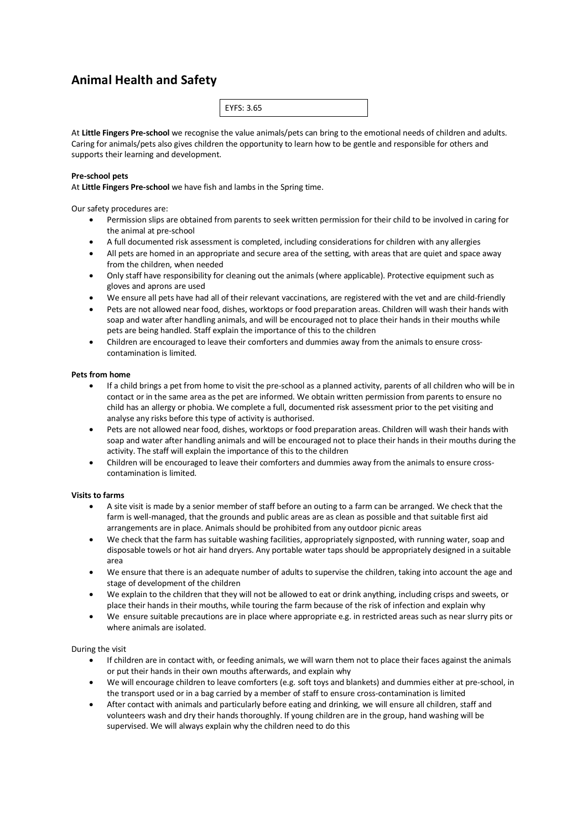# **Animal Health and Safety**

|--|--|--|

At **Little Fingers Pre-school** we recognise the value animals/pets can bring to the emotional needs of children and adults. Caring for animals/pets also gives children the opportunity to learn how to be gentle and responsible for others and supports their learning and development.

## **Pre-school pets**

At **Little Fingers Pre-school** we have fish and lambs in the Spring time.

Our safety procedures are:

- Permission slips are obtained from parents to seek written permission for their child to be involved in caring for the animal at pre-school
- A full documented risk assessment is completed, including considerations for children with any allergies
- All pets are homed in an appropriate and secure area of the setting, with areas that are quiet and space away from the children, when needed
- Only staff have responsibility for cleaning out the animals (where applicable). Protective equipment such as gloves and aprons are used
- We ensure all pets have had all of their relevant vaccinations, are registered with the vet and are child-friendly
- Pets are not allowed near food, dishes, worktops or food preparation areas. Children will wash their hands with soap and water after handling animals, and will be encouraged not to place their hands in their mouths while pets are being handled. Staff explain the importance of this to the children
- Children are encouraged to leave their comforters and dummies away from the animals to ensure crosscontamination is limited.

### **Pets from home**

- If a child brings a pet from home to visit the pre-school as a planned activity, parents of all children who will be in contact or in the same area as the pet are informed. We obtain written permission from parents to ensure no child has an allergy or phobia. We complete a full, documented risk assessment prior to the pet visiting and analyse any risks before this type of activity is authorised.
- Pets are not allowed near food, dishes, worktops or food preparation areas. Children will wash their hands with soap and water after handling animals and will be encouraged not to place their hands in their mouths during the activity. The staff will explain the importance of this to the children
- Children will be encouraged to leave their comforters and dummies away from the animals to ensure crosscontamination is limited.

### **Visits to farms**

- A site visit is made by a senior member of staff before an outing to a farm can be arranged. We check that the farm is well-managed, that the grounds and public areas are as clean as possible and that suitable first aid arrangements are in place. Animals should be prohibited from any outdoor picnic areas
- We check that the farm has suitable washing facilities, appropriately signposted, with running water, soap and disposable towels or hot air hand dryers. Any portable water taps should be appropriately designed in a suitable area
- We ensure that there is an adequate number of adults to supervise the children, taking into account the age and stage of development of the children
- We explain to the children that they will not be allowed to eat or drink anything, including crisps and sweets, or place their hands in their mouths, while touring the farm because of the risk of infection and explain why
- We ensure suitable precautions are in place where appropriate e.g. in restricted areas such as near slurry pits or where animals are isolated.

### During the visit

- If children are in contact with, or feeding animals, we will warn them not to place their faces against the animals or put their hands in their own mouths afterwards, and explain why
- We will encourage children to leave comforters (e.g. soft toys and blankets) and dummies either at pre-school, in the transport used or in a bag carried by a member of staff to ensure cross-contamination is limited
- After contact with animals and particularly before eating and drinking, we will ensure all children, staff and volunteers wash and dry their hands thoroughly. If young children are in the group, hand washing will be supervised. We will always explain why the children need to do this